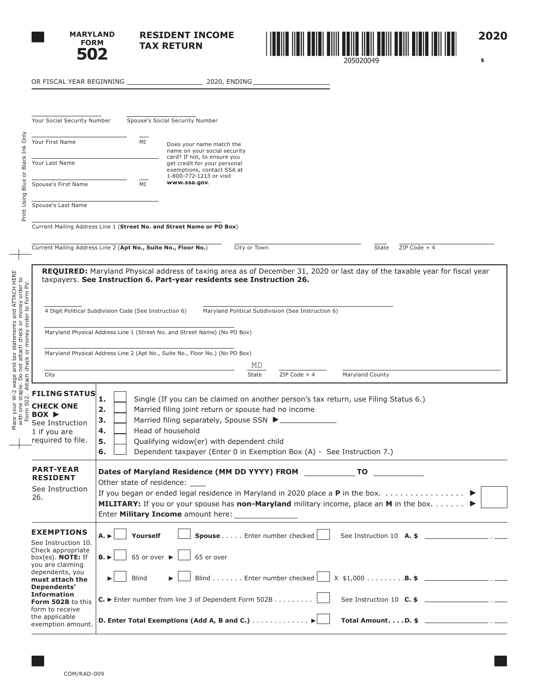

 $\overline{\phantom{0}}$ 

 $\overline{\phantom{a}}$ 

**RESIDENT INCOME TAX RETURN**



**2020**

 **\$** 

|                                                                                                                                                                       | Your Social Security Number                                                                                                                                                                         |                                                                                                                                                                                                                                                                                                                               | Spouse's Social Security Number                                                                                                                                                                                                                                                        |  |  |  |  |  |  |  |  |
|-----------------------------------------------------------------------------------------------------------------------------------------------------------------------|-----------------------------------------------------------------------------------------------------------------------------------------------------------------------------------------------------|-------------------------------------------------------------------------------------------------------------------------------------------------------------------------------------------------------------------------------------------------------------------------------------------------------------------------------|----------------------------------------------------------------------------------------------------------------------------------------------------------------------------------------------------------------------------------------------------------------------------------------|--|--|--|--|--|--|--|--|
| Black Ink Only                                                                                                                                                        | Your First Name                                                                                                                                                                                     | MI                                                                                                                                                                                                                                                                                                                            | Does your name match the<br>name on your social security<br>card? If not, to ensure you<br>get credit for your personal<br>exemptions, contact SSA at<br>1-800-772-1213 or visit                                                                                                       |  |  |  |  |  |  |  |  |
| ð                                                                                                                                                                     | Your Last Name                                                                                                                                                                                      |                                                                                                                                                                                                                                                                                                                               |                                                                                                                                                                                                                                                                                        |  |  |  |  |  |  |  |  |
| Blue                                                                                                                                                                  | Spouse's First Name                                                                                                                                                                                 | MI                                                                                                                                                                                                                                                                                                                            | www.ssa.gov.                                                                                                                                                                                                                                                                           |  |  |  |  |  |  |  |  |
| Print Using                                                                                                                                                           | Spouse's Last Name                                                                                                                                                                                  |                                                                                                                                                                                                                                                                                                                               |                                                                                                                                                                                                                                                                                        |  |  |  |  |  |  |  |  |
|                                                                                                                                                                       | Current Mailing Address Line 1 (Street No. and Street Name or PO Box)                                                                                                                               |                                                                                                                                                                                                                                                                                                                               |                                                                                                                                                                                                                                                                                        |  |  |  |  |  |  |  |  |
|                                                                                                                                                                       | Current Mailing Address Line 2 (Apt No., Suite No., Floor No.)                                                                                                                                      |                                                                                                                                                                                                                                                                                                                               | City or Town<br>$ZIP Code + 4$<br>State                                                                                                                                                                                                                                                |  |  |  |  |  |  |  |  |
|                                                                                                                                                                       | REQUIRED: Maryland Physical address of taxing area as of December 31, 2020 or last day of the taxable year for fiscal year<br>taxpayers. See Instruction 6. Part-year residents see Instruction 26. |                                                                                                                                                                                                                                                                                                                               |                                                                                                                                                                                                                                                                                        |  |  |  |  |  |  |  |  |
|                                                                                                                                                                       |                                                                                                                                                                                                     | 4 Digit Political Subdivision Code (See Instruction 6)                                                                                                                                                                                                                                                                        | Maryland Political Subdivision (See Instruction 6)                                                                                                                                                                                                                                     |  |  |  |  |  |  |  |  |
|                                                                                                                                                                       |                                                                                                                                                                                                     |                                                                                                                                                                                                                                                                                                                               | Maryland Physical Address Line 1 (Street No. and Street Name) (No PO Box)                                                                                                                                                                                                              |  |  |  |  |  |  |  |  |
|                                                                                                                                                                       | Maryland Physical Address Line 2 (Apt No., Suite No., Floor No.) (No PO Box)                                                                                                                        |                                                                                                                                                                                                                                                                                                                               |                                                                                                                                                                                                                                                                                        |  |  |  |  |  |  |  |  |
|                                                                                                                                                                       | City                                                                                                                                                                                                |                                                                                                                                                                                                                                                                                                                               | MD<br>Maryland County<br>State<br>$ZIP Code + 4$                                                                                                                                                                                                                                       |  |  |  |  |  |  |  |  |
| Place your W-2 wage and tax statements and ATTACH HERE<br>with one staple. Do not attach check or money order to<br>Form 502. Attach check or money order to Form PV. | <b>FILING STATUS</b><br><b>CHECK ONE</b><br>$Box \triangleright$<br>See Instruction<br>1 if you are<br>required to file.                                                                            | 1.<br>2.<br>3.<br>4.<br>5.<br>6.                                                                                                                                                                                                                                                                                              | Single (If you can be claimed on another person's tax return, use Filing Status 6.)<br>Married filing joint return or spouse had no income<br>Head of household<br>Qualifying widow(er) with dependent child<br>Dependent taxpayer (Enter 0 in Exemption Box (A) - See Instruction 7.) |  |  |  |  |  |  |  |  |
|                                                                                                                                                                       | <b>PART-YEAR</b><br><b>RESIDENT</b><br>See Instruction<br>26.                                                                                                                                       | Dates of Maryland Residence (MM DD YYYY) FROM __________________________________<br>Other state of residence: ____<br>MILITARY: If you or your spouse has non-Maryland military income, place an M in the box. ▶<br>Enter Military Income amount here: ________________<br><u> 1989 - John Stone, Amerikaansk politiker (</u> |                                                                                                                                                                                                                                                                                        |  |  |  |  |  |  |  |  |
|                                                                                                                                                                       | <b>EXEMPTIONS</b><br>See Instruction 10.<br>Check appropriate<br>box(es). NOTE: If<br>you are claiming                                                                                              | $A. \triangleright$<br>Yourself<br>$B.$ $\blacktriangleright$                                                                                                                                                                                                                                                                 | Spouse Enter number checked<br>65 or over $\blacktriangleright$<br>65 or over                                                                                                                                                                                                          |  |  |  |  |  |  |  |  |
|                                                                                                                                                                       | dependents, you<br>must attach the                                                                                                                                                                  | <b>Blind</b>                                                                                                                                                                                                                                                                                                                  | $X$ \$1,000 <b>B. \$</b> _______________________ . _____<br>Blind Enter number checked                                                                                                                                                                                                 |  |  |  |  |  |  |  |  |
|                                                                                                                                                                       | Dependents'<br><b>Information</b>                                                                                                                                                                   |                                                                                                                                                                                                                                                                                                                               | See Instruction 10 $C.$ \$ $\qquad \qquad$                                                                                                                                                                                                                                             |  |  |  |  |  |  |  |  |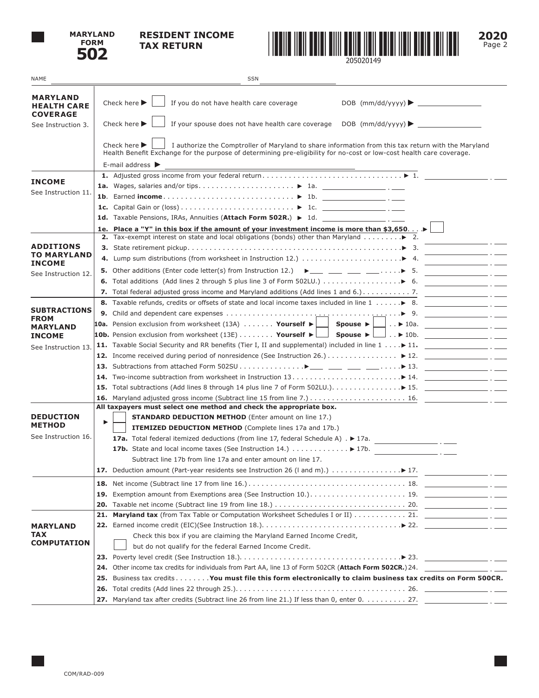

## **RESIDENT INCOME TAX RETURN**



**2020** Page 2

| NAME                                                     | <b>SSN</b>                                                                                                                                                                                                                                                                                                                                                         |  |  |  |  |  |  |  |  |  |
|----------------------------------------------------------|--------------------------------------------------------------------------------------------------------------------------------------------------------------------------------------------------------------------------------------------------------------------------------------------------------------------------------------------------------------------|--|--|--|--|--|--|--|--|--|
| <b>MARYLAND</b><br><b>HEALTH CARE</b><br><b>COVERAGE</b> | Check here $\blacktriangleright$<br>If you do not have health care coverage                                                                                                                                                                                                                                                                                        |  |  |  |  |  |  |  |  |  |
| See Instruction 3.                                       | Check here $\blacktriangleright$                                                                                                                                                                                                                                                                                                                                   |  |  |  |  |  |  |  |  |  |
|                                                          | Check here $\blacktriangleright$<br>I authorize the Comptroller of Maryland to share information from this tax return with the Maryland<br>Health Benefit Exchange for the purpose of determining pre-eligibility for no-cost or low-cost health care coverage.<br>E-mail address $\blacktriangleright$<br><u> 1989 - Johann Barn, amerikan personal (h. 1989)</u> |  |  |  |  |  |  |  |  |  |
| <b>INCOME</b>                                            |                                                                                                                                                                                                                                                                                                                                                                    |  |  |  |  |  |  |  |  |  |
| See Instruction 11.                                      |                                                                                                                                                                                                                                                                                                                                                                    |  |  |  |  |  |  |  |  |  |
|                                                          |                                                                                                                                                                                                                                                                                                                                                                    |  |  |  |  |  |  |  |  |  |
|                                                          |                                                                                                                                                                                                                                                                                                                                                                    |  |  |  |  |  |  |  |  |  |
|                                                          |                                                                                                                                                                                                                                                                                                                                                                    |  |  |  |  |  |  |  |  |  |
|                                                          | 1e. Place a "Y" in this box if the amount of your investment income is more than \$3,650▶                                                                                                                                                                                                                                                                          |  |  |  |  |  |  |  |  |  |
|                                                          | <b>2.</b> Tax-exempt interest on state and local obligations (bonds) other than Maryland $\blacktriangleright$ 2.                                                                                                                                                                                                                                                  |  |  |  |  |  |  |  |  |  |
| <b>ADDITIONS</b><br>TO MARYLAND                          |                                                                                                                                                                                                                                                                                                                                                                    |  |  |  |  |  |  |  |  |  |
| <b>INCOME</b>                                            | <b>5.</b> Other additions (Enter code letter(s) from Instruction 12.) $\rightarrow \_\_\_\_\_\_\_\_\_\_\_\_\_\_\_\_\_$ .                                                                                                                                                                                                                                           |  |  |  |  |  |  |  |  |  |
| See Instruction 12.                                      | <u> 1980 - Jan James James II, men</u>                                                                                                                                                                                                                                                                                                                             |  |  |  |  |  |  |  |  |  |
|                                                          |                                                                                                                                                                                                                                                                                                                                                                    |  |  |  |  |  |  |  |  |  |
|                                                          | <u> 1980 - Andrea State Barbara, poeta esta</u><br>8. Taxable refunds, credits or offsets of state and local income taxes included in line 1 > 8.                                                                                                                                                                                                                  |  |  |  |  |  |  |  |  |  |
| <b>SUBTRACTIONS</b>                                      |                                                                                                                                                                                                                                                                                                                                                                    |  |  |  |  |  |  |  |  |  |
| <b>FROM</b>                                              | 10a. Pension exclusion from worksheet (13A) Yourself ▶<br>$\Box$ Spouse $\blacktriangleright \Box$                                                                                                                                                                                                                                                                 |  |  |  |  |  |  |  |  |  |
| <b>MARYLAND</b><br><b>INCOME</b>                         | 10b. Pension exclusion from worksheet (13E) Yourself $\blacktriangleright$                                                                                                                                                                                                                                                                                         |  |  |  |  |  |  |  |  |  |
|                                                          |                                                                                                                                                                                                                                                                                                                                                                    |  |  |  |  |  |  |  |  |  |
| See Instruction 13.                                      |                                                                                                                                                                                                                                                                                                                                                                    |  |  |  |  |  |  |  |  |  |
|                                                          |                                                                                                                                                                                                                                                                                                                                                                    |  |  |  |  |  |  |  |  |  |
|                                                          |                                                                                                                                                                                                                                                                                                                                                                    |  |  |  |  |  |  |  |  |  |
|                                                          |                                                                                                                                                                                                                                                                                                                                                                    |  |  |  |  |  |  |  |  |  |
|                                                          |                                                                                                                                                                                                                                                                                                                                                                    |  |  |  |  |  |  |  |  |  |
|                                                          | All taxpayers must select one method and check the appropriate box.                                                                                                                                                                                                                                                                                                |  |  |  |  |  |  |  |  |  |
| <b>DEDUCTION</b>                                         | <b>STANDARD DEDUCTION METHOD</b> (Enter amount on line 17.)                                                                                                                                                                                                                                                                                                        |  |  |  |  |  |  |  |  |  |
| <b>METHOD</b>                                            | ITEMIZED DEDUCTION METHOD (Complete lines 17a and 17b.)                                                                                                                                                                                                                                                                                                            |  |  |  |  |  |  |  |  |  |
| See Instruction 16.                                      | 17a. Total federal itemized deductions (from line 17, federal Schedule A) . ▶ 17a. ______________________.                                                                                                                                                                                                                                                         |  |  |  |  |  |  |  |  |  |
|                                                          | 17b. State and local income taxes (See Instruction 14.) $\ldots \ldots \ldots \ge 17b$ .                                                                                                                                                                                                                                                                           |  |  |  |  |  |  |  |  |  |
|                                                          | Subtract line 17b from line 17a and enter amount on line 17.                                                                                                                                                                                                                                                                                                       |  |  |  |  |  |  |  |  |  |
|                                                          | 17. Deduction amount (Part-year residents see Instruction 26 (I and m).) ▶ 17.                                                                                                                                                                                                                                                                                     |  |  |  |  |  |  |  |  |  |
|                                                          |                                                                                                                                                                                                                                                                                                                                                                    |  |  |  |  |  |  |  |  |  |
|                                                          |                                                                                                                                                                                                                                                                                                                                                                    |  |  |  |  |  |  |  |  |  |
|                                                          |                                                                                                                                                                                                                                                                                                                                                                    |  |  |  |  |  |  |  |  |  |
|                                                          | 21.                                                                                                                                                                                                                                                                                                                                                                |  |  |  |  |  |  |  |  |  |
| <b>MARYLAND</b>                                          | 22. Earned income credit (EIC)(See Instruction 18.). $\dots \dots \dots \dots \dots \dots \dots \dots \dots \dots \dots \ge 22$ .                                                                                                                                                                                                                                  |  |  |  |  |  |  |  |  |  |
| TAX                                                      | Check this box if you are claiming the Maryland Earned Income Credit,                                                                                                                                                                                                                                                                                              |  |  |  |  |  |  |  |  |  |
| <b>COMPUTATION</b>                                       | but do not qualify for the federal Earned Income Credit.                                                                                                                                                                                                                                                                                                           |  |  |  |  |  |  |  |  |  |
|                                                          | 23. Poverty level credit (See Instruction 18.). $\dots$ . $\dots$ . $\dots$ . $\dots$ . $\dots$ . $\cdot$ . $\cdot$ . $\cdot$ . $\cdot$ . $\cdot$ . $\cdot$ . $\cdot$ . $\cdot$ . $\cdot$ . $\cdot$ . $\cdot$ . $\cdot$ . $\cdot$ . $\cdot$ . $\cdot$ . $\cdot$ . $\cdot$ . $\cdot$ . $\cdot$ . $\cdot$                                                            |  |  |  |  |  |  |  |  |  |
|                                                          |                                                                                                                                                                                                                                                                                                                                                                    |  |  |  |  |  |  |  |  |  |
|                                                          | Business tax credits You must file this form electronically to claim business tax credits on Form 500CR.<br>25.                                                                                                                                                                                                                                                    |  |  |  |  |  |  |  |  |  |
|                                                          |                                                                                                                                                                                                                                                                                                                                                                    |  |  |  |  |  |  |  |  |  |
|                                                          | 27. Maryland tax after credits (Subtract line 26 from line 21.) If less than 0, enter 0. 27.                                                                                                                                                                                                                                                                       |  |  |  |  |  |  |  |  |  |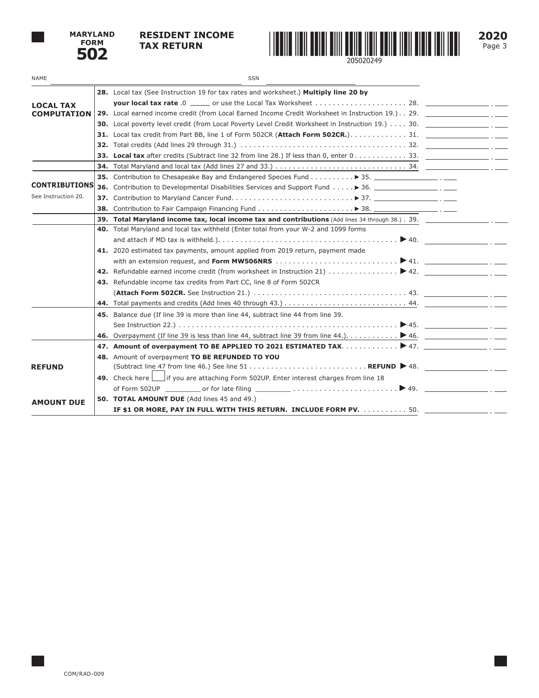

## **RESIDENT INCOME TAX RETURN**



**2020** Page 3

| NAME                 | <b>SSN</b>                                                                                                                          |  |
|----------------------|-------------------------------------------------------------------------------------------------------------------------------------|--|
|                      | 28. Local tax (See Instruction 19 for tax rates and worksheet.) Multiply line 20 by                                                 |  |
| <b>LOCAL TAX</b>     |                                                                                                                                     |  |
| <b>COMPUTATION</b>   |                                                                                                                                     |  |
|                      |                                                                                                                                     |  |
|                      |                                                                                                                                     |  |
|                      |                                                                                                                                     |  |
|                      |                                                                                                                                     |  |
|                      |                                                                                                                                     |  |
|                      | <b>35.</b> Contribution to Chesapeake Bay and Endangered Species Fund $\triangleright$ 35.                                          |  |
| <b>CONTRIBUTIONS</b> | 36. Contribution to Developmental Disabilities Services and Support Fund ▶ 36.                                                      |  |
| See Instruction 20.  |                                                                                                                                     |  |
|                      |                                                                                                                                     |  |
|                      | 39. Total Maryland income tax, local income tax and contributions (Add lines 34 through 38.). 39.                                   |  |
|                      | 40. Total Maryland and local tax withheld (Enter total from your W-2 and 1099 forms                                                 |  |
|                      |                                                                                                                                     |  |
|                      | 41. 2020 estimated tax payments, amount applied from 2019 return, payment made                                                      |  |
|                      |                                                                                                                                     |  |
|                      |                                                                                                                                     |  |
|                      | 43. Refundable income tax credits from Part CC, line 8 of Form 502CR                                                                |  |
|                      |                                                                                                                                     |  |
|                      |                                                                                                                                     |  |
|                      | 45. Balance due (If line 39 is more than line 44, subtract line 44 from line 39.                                                    |  |
|                      |                                                                                                                                     |  |
|                      | 46. Overpayment (If line 39 is less than line 44, subtract line 39 from line 44.). $\ldots \ldots \ldots$ $\blacktriangleright$ 46. |  |
|                      | 47. Amount of overpayment TO BE APPLIED TO 2021 ESTIMATED TAX > 47. ________________.___.                                           |  |
|                      | 48. Amount of overpayment TO BE REFUNDED TO YOU                                                                                     |  |
| <b>REFUND</b>        |                                                                                                                                     |  |
|                      | 49. Check here if you are attaching Form 502UP. Enter interest charges from line 18                                                 |  |
|                      | of Form 502UP or for late filing $\begin{array}{ccc} \ldots & \ldots & \ldots & \ldots & \ldots & \end{array}$ 49.                  |  |
| <b>AMOUNT DUE</b>    | 50. TOTAL AMOUNT DUE (Add lines 45 and 49.)                                                                                         |  |
|                      | IF \$1 OR MORE, PAY IN FULL WITH THIS RETURN. INCLUDE FORM PV. 50.                                                                  |  |